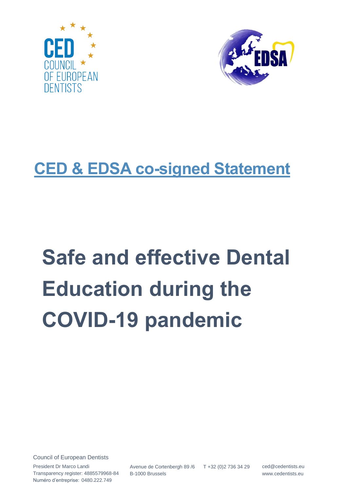



# **CED & EDSA co-signed Statement**

# **Safe and effective Dental Education during the COVID-19 pandemic**

Council of European Dentists

President Dr Marco Landi Transparency register: 4885579968-84 Numéro d'entreprise: 0480.222.749

Avenue de Cortenbergh 89 /6 B-1000 Brussels T +32 (0)2 736 34 29 ced@cedentists.eu

www.cedentists.eu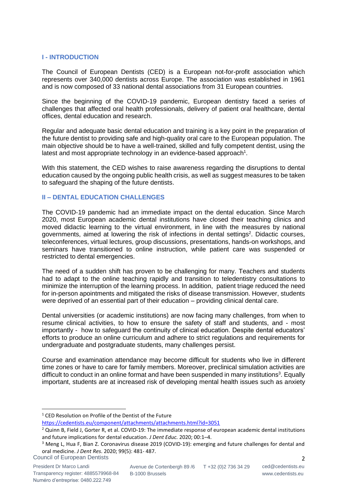## **I - INTRODUCTION**

The Council of European Dentists (CED) is a European not-for-profit association which represents over 340,000 dentists across Europe. The association was established in 1961 and is now composed of 33 national dental associations from 31 European countries.

Since the beginning of the COVID-19 pandemic, European dentistry faced a series of challenges that affected oral health professionals, delivery of patient oral healthcare, dental offices, dental education and research.

Regular and adequate basic dental education and training is a key point in the preparation of the future dentist to providing safe and high-quality oral care to the European population. The main objective should be to have a well-trained, skilled and fully competent dentist, using the latest and most appropriate technology in an evidence-based approach<sup>1</sup>.

With this statement, the CED wishes to raise awareness regarding the disruptions to dental education caused by the ongoing public health crisis, as well as suggest measures to be taken to safeguard the shaping of the future dentists.

# **II – DENTAL EDUCATION CHALLENGES**

The COVID‐19 pandemic had an immediate impact on the dental education. Since March 2020, most European academic dental institutions have closed their teaching clinics and moved didactic learning to the virtual environment, in line with the measures by national governments, aimed at lowering the risk of infections in dental settings 2 . Didactic courses, teleconferences, virtual lectures, group discussions, presentations, hands-on workshops, and seminars have transitioned to online instruction, while patient care was suspended or restricted to dental emergencies.

The need of a sudden shift has proven to be challenging for many. Teachers and students had to adapt to the online teaching rapidly and transition to teledentistry consultations to minimize the interruption of the learning process. In addition, patient triage reduced the need for in-person apointments and mitigated the risks of disease transmission. However, students were deprived of an essential part of their education – providing clinical dental care.

Dental universities (or academic institutions) are now facing many challenges, from when to resume clinical activities, to how to ensure the safety of staff and students, and - most importantly - how to safeguard the continuity of clinical education. Despite dental educators' efforts to produce an online curriculum and adhere to strict regulations and requirements for undergraduate and postgraduate students, many challenges persist.

Course and examination attendance may become difficult for students who live in different time zones or have to care for family members. Moreover, preclinical simulation activities are difficult to conduct in an online format and have been suspended in many institutions<sup>3</sup>. Equally important, students are at increased risk of developing mental health issues such as anxiety

<sup>&</sup>lt;sup>1</sup> CED Resolution on Profile of the Dentist of the Future

<https://cedentists.eu/component/attachments/attachments.html?id=3051>

 $2$  Quinn B, Field J, Gorter R, et al. COVID-19: The immediate response of european academic dental institutions and future implications for dental education. *J Dent Educ.* 2020; 00:1–4.

<sup>&</sup>lt;sup>3</sup> Meng L, Hua F, Bian Z. Coronavirus disease 2019 (COVID-19): emerging and future challenges for dental and oral medicine. *J Dent Res*. 2020; 99(5): 481‐ 487.

Council of European Dentists 2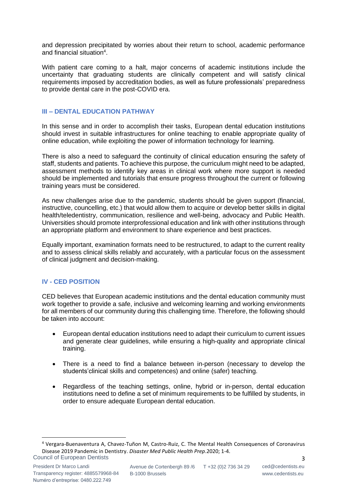and depression precipitated by worries about their return to school, academic performance and financial situation<sup>4</sup>.

With patient care coming to a halt, major concerns of academic institutions include the uncertainty that graduating students are clinically competent and will satisfy clinical requirements imposed by accreditation bodies, as well as future professionals' preparedness to provide dental care in the post-COVID era.

## **III – DENTAL EDUCATION PATHWAY**

In this sense and in order to accomplish their tasks, European dental education institutions should invest in suitable infrastructures for online teaching to enable appropriate quality of online education, while exploiting the power of information technology for learning.

There is also a need to safeguard the continuity of clinical education ensuring the safety of staff, students and patients. To achieve this purpose, the curriculum might need to be adapted, assessment methods to identify key areas in clinical work where more support is needed should be implemented and tutorials that ensure progress throughout the current or following training years must be considered.

As new challenges arise due to the pandemic, students should be given support (financial, instructive, councelling, etc.) that would allow them to acquire or develop better skills in digital health/teledentistry, communication, resilience and well-being, advocacy and Public Health. Universities should promote interprofessional education and link with other institutions through an appropriate platform and environment to share experience and best practices.

Equally important, examination formats need to be restructured, to adapt to the current reality and to assess clinical skills reliably and accurately, with a particular focus on the assessment of clinical judgment and decision‐making.

## **IV - CED POSITION**

CED believes that European academic institutions and the dental education community must work together to provide a safe, inclusive and welcoming learning and working environments for all members of our community during this challenging time. Therefore, the following should be taken into account:

- European dental education institutions need to adapt their curriculum to current issues and generate clear guidelines, while ensuring a high-quality and appropriate clinical training.
- There is a need to find a balance between in-person (necessary to develop the students'clinical skills and competences) and online (safer) teaching.
- Regardless of the teaching settings, online, hybrid or in-person, dental education institutions need to define a set of minimum requirements to be fulfilled by students, in order to ensure adequate European dental education.

Council of European Dentists 3 <sup>4</sup> Vergara-Buenaventura A, Chavez-Tuñon M, Castro-Ruiz, C. The Mental Health Consequences of Coronavirus Disease 2019 Pandemic in Dentistry. *Disaster Med Public Health Prep*.2020; 1-4.